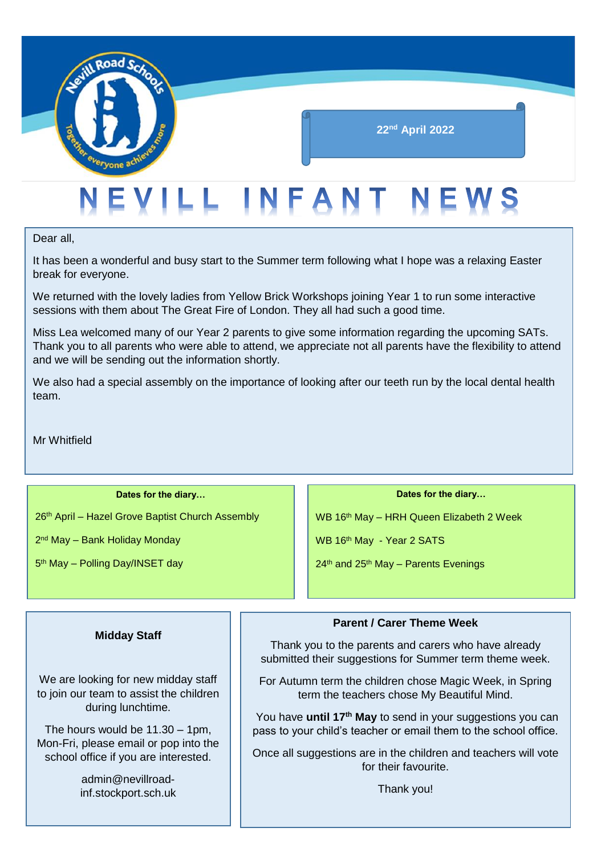

Dear all,

It has been a wonderful and busy start to the Summer term following what I hope was a relaxing Easter break for everyone.

We returned with the lovely ladies from Yellow Brick Workshops joining Year 1 to run some interactive sessions with them about The Great Fire of London. They all had such a good time.

Miss Lea welcomed many of our Year 2 parents to give some information regarding the upcoming SATs. Thank you to all parents who were able to attend, we appreciate not all parents have the flexibility to attend and we will be sending out the information shortly.

We also had a special assembly on the importance of looking after our teeth run by the local dental health team.

Mr Whitfield

#### **Dates for the diary…**

26th April – Hazel Grove Baptist Church Assembly

2<sup>nd</sup> May – Bank Holiday Monday

5<sup>th</sup> May – Polling Day/INSET day

#### **Dates for the diary…**

WB 16th May – HRH Queen Elizabeth 2 Week

WB 16th May - Year 2 SATS

 $24<sup>th</sup>$  and  $25<sup>th</sup>$  May – Parents Evenings

# **Parent / Carer Theme Week**

Thank you to the parents and carers who have already submitted their suggestions for Summer term theme week.

For Autumn term the children chose Magic Week, in Spring term the teachers chose My Beautiful Mind.

You have **until 17th May** to send in your suggestions you can pass to your child's teacher or email them to the school office.

Once all suggestions are in the children and teachers will vote for their favourite.

Thank you!

## **Midday Staff**

We are looking for new midday staff to join our team to assist the children during lunchtime.

The hours would be 11.30 – 1pm, Mon-Fri, please email or pop into the school office if you are interested.

> admin@nevillroadinf.stockport.sch.uk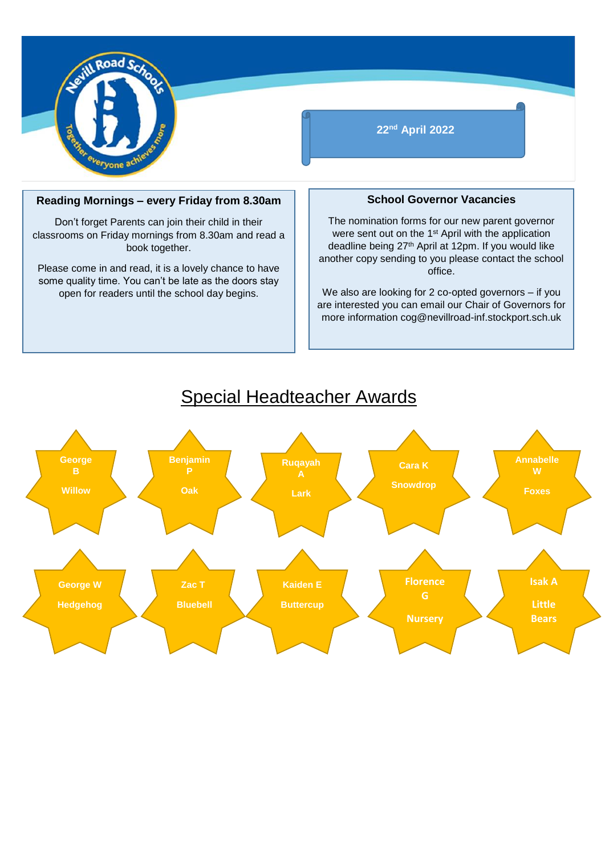

# **22nd April 2022**

### **Reading Mornings – every Friday from 8.30am**

Don't forget Parents can join their child in their classrooms on Friday mornings from 8.30am and read a book together.

Please come in and read, it is a lovely chance to have some quality time. You can't be late as the doors stay open for readers until the school day begins.

## **School Governor Vacancies**

The nomination forms for our new parent governor were sent out on the 1st April with the application deadline being 27th April at 12pm. If you would like another copy sending to you please contact the school office.

We also are looking for 2 co-opted governors – if you are interested you can email our Chair of Governors for more information cog@nevillroad-inf.stockport.sch.uk



# Special Headteacher Awards